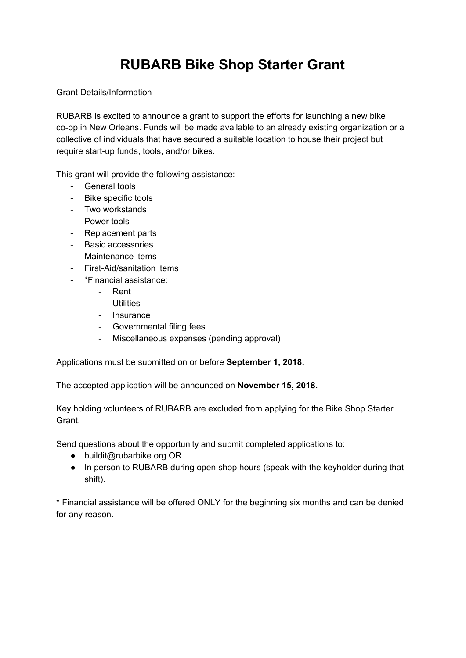## **RUBARB Bike Shop Starter Grant**

Grant Details/Information

RUBARB is excited to announce a grant to support the efforts for launching a new bike co-op in New Orleans. Funds will be made available to an already existing organization or a collective of individuals that have secured a suitable location to house their project but require start-up funds, tools, and/or bikes.

This grant will provide the following assistance:

- General tools
- Bike specific tools
- Two workstands
- Power tools
- Replacement parts
- Basic accessories
- Maintenance items
- First-Aid/sanitation items
- \*Financial assistance:
	- Rent
	- Utilities
	- Insurance
	- Governmental filing fees
	- Miscellaneous expenses (pending approval)

Applications must be submitted on or before **September 1, 2018.**

The accepted application will be announced on **November 15, 2018.**

Key holding volunteers of RUBARB are excluded from applying for the Bike Shop Starter Grant.

Send questions about the opportunity and submit completed applications to:

- buildit@rubarbike.org OR
- In person to RUBARB during open shop hours (speak with the keyholder during that shift).

\* Financial assistance will be offered ONLY for the beginning six months and can be denied for any reason.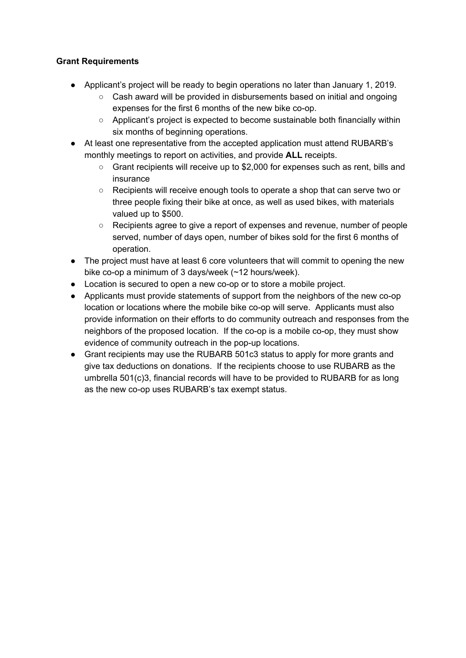## **Grant Requirements**

- Applicant's project will be ready to begin operations no later than January 1, 2019.
	- $\circ$  Cash award will be provided in disbursements based on initial and ongoing expenses for the first 6 months of the new bike co-op.
	- Applicant's project is expected to become sustainable both financially within six months of beginning operations.
- At least one representative from the accepted application must attend RUBARB's monthly meetings to report on activities, and provide **ALL** receipts.
	- Grant recipients will receive up to \$2,000 for expenses such as rent, bills and insurance
	- Recipients will receive enough tools to operate a shop that can serve two or three people fixing their bike at once, as well as used bikes, with materials valued up to \$500.
	- Recipients agree to give a report of expenses and revenue, number of people served, number of days open, number of bikes sold for the first 6 months of operation.
- The project must have at least 6 core volunteers that will commit to opening the new bike co-op a minimum of 3 days/week (~12 hours/week).
- Location is secured to open a new co-op or to store a mobile project.
- Applicants must provide statements of support from the neighbors of the new co-op location or locations where the mobile bike co-op will serve. Applicants must also provide information on their efforts to do community outreach and responses from the neighbors of the proposed location. If the co-op is a mobile co-op, they must show evidence of community outreach in the pop-up locations.
- Grant recipients may use the RUBARB 501c3 status to apply for more grants and give tax deductions on donations. If the recipients choose to use RUBARB as the umbrella 501(c)3, financial records will have to be provided to RUBARB for as long as the new co-op uses RUBARB's tax exempt status.